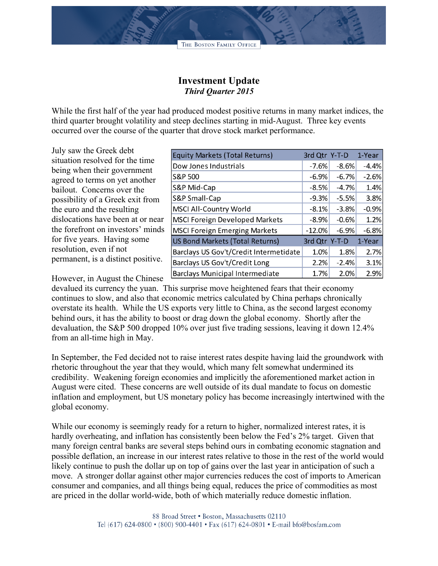## **Investment Update** *Third Quarter 2015*

While the first half of the year had produced modest positive returns in many market indices, the third quarter brought volatility and steep declines starting in mid-August. Three key events occurred over the course of the quarter that drove stock market performance.

July saw the Greek debt situation resolved for the time being when their government agreed to terms on yet another bailout. Concerns over the possibility of a Greek exit from the euro and the resulting dislocations have been at or near the forefront on investors' minds for five years. Having some resolution, even if not permanent, is a distinct positive.

| <b>Equity Markets (Total Returns)</b>  |          | 3rd Qtr Y-T-D | 1-Year  |
|----------------------------------------|----------|---------------|---------|
| Dow Jones Industrials                  | $-7.6%$  | $-8.6\%$      | $-4.4%$ |
| S&P 500                                | $-6.9\%$ | $-6.7%$       | $-2.6%$ |
| S&P Mid-Cap                            | $-8.5%$  | $-4.7%$       | 1.4%    |
| S&P Small-Cap                          | $-9.3%$  | $-5.5%$       | 3.8%    |
| <b>MSCI All-Country World</b>          | $-8.1\%$ | $-3.8%$       | $-0.9%$ |
| <b>MSCI Foreign Developed Markets</b>  | $-8.9\%$ | $-0.6%$       | 1.2%    |
| <b>MSCI Foreign Emerging Markets</b>   | $-12.0%$ | $-6.9\%$      | $-6.8%$ |
| US Bond Markets (Total Returns)        |          | 3rd Qtr Y-T-D | 1-Year  |
| Barclays US Gov't/Credit Intermetidate | 1.0%     | 1.8%          | 2.7%    |
| Barclays US Gov't/Credit Long          | 2.2%     | $-2.4%$       | 3.1%    |
| <b>Barclays Municipal Intermediate</b> | 1.7%     | 2.0%          | 2.9%    |

However, in August the Chinese

devalued its currency the yuan. This surprise move heightened fears that their economy continues to slow, and also that economic metrics calculated by China perhaps chronically overstate its health. While the US exports very little to China, as the second largest economy behind ours, it has the ability to boost or drag down the global economy. Shortly after the devaluation, the S&P 500 dropped 10% over just five trading sessions, leaving it down 12.4% from an all-time high in May.

In September, the Fed decided not to raise interest rates despite having laid the groundwork with rhetoric throughout the year that they would, which many felt somewhat undermined its credibility. Weakening foreign economies and implicitly the aforementioned market action in August were cited. These concerns are well outside of its dual mandate to focus on domestic inflation and employment, but US monetary policy has become increasingly intertwined with the global economy.

While our economy is seemingly ready for a return to higher, normalized interest rates, it is hardly overheating, and inflation has consistently been below the Fed's 2% target. Given that many foreign central banks are several steps behind ours in combating economic stagnation and possible deflation, an increase in our interest rates relative to those in the rest of the world would likely continue to push the dollar up on top of gains over the last year in anticipation of such a move. A stronger dollar against other major currencies reduces the cost of imports to American consumer and companies, and all things being equal, reduces the price of commodities as most are priced in the dollar world-wide, both of which materially reduce domestic inflation.